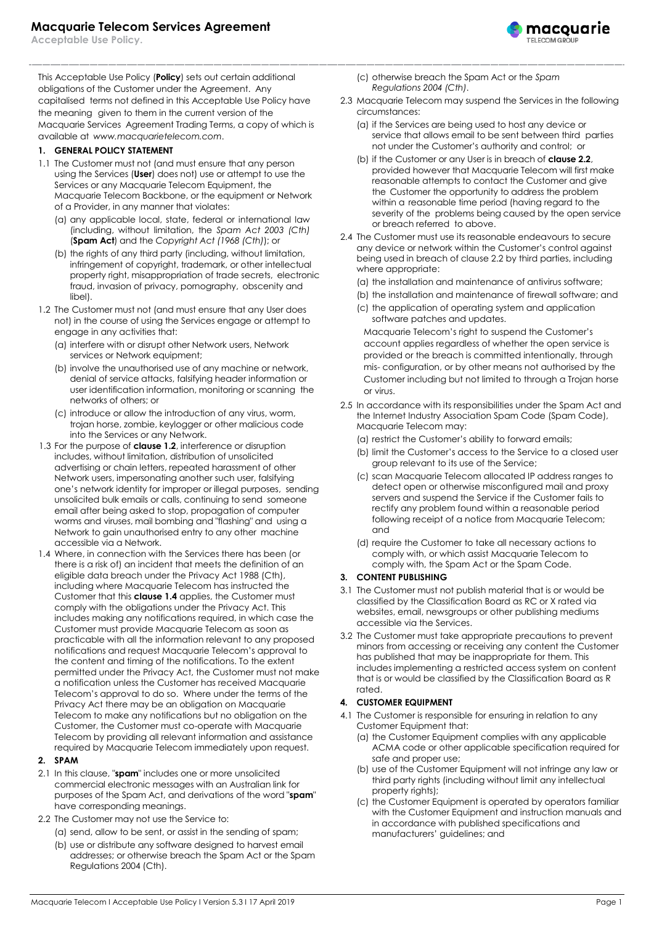**Acceptable Use Policy.**

This Acceptable Use Policy (**Policy**) sets out certain additional obligations of the Customer under the Agreement. Any capitalised terms not defined in this Acceptable Use Policy have the meaning given to them in the current version of the Macquarie Services Agreement Trading Terms, a copy of which is available at *[www.macquarietelecom.com](http://www.macquarietelecom.com/)*.

#### **1. GENERAL POLICY STATEMENT**

- 1.1 The Customer must not (and must ensure that any person using the Services (**User**) does not) use or attempt to use the Services or any Macquarie Telecom Equipment, the Macquarie Telecom Backbone, or the equipment or Network of a Provider, in any manner that violates:
	- (a) any applicable local, state, federal or international law (including, without limitation, the *Spam Act 2003 (Cth)* (**Spam Act**) and the *Copyright Act (1968 (Cth)*); or
	- (b) the rights of any third party (including, without limitation, infringement of copyright, trademark, or other intellectual property right, misappropriation of trade secrets, electronic fraud, invasion of privacy, pornography, obscenity and libel).
- <span id="page-0-0"></span>1.2 The Customer must not (and must ensure that any User does not) in the course of using the Services engage or attempt to engage in any activities that:
	- (a) interfere with or disrupt other Network users, Network services or Network equipment;
	- (b) involve the unauthorised use of any machine or network, denial of service attacks, falsifying header information or user identification information, monitoring or scanning the networks of others; or
	- (c) introduce or allow the introduction of any virus, worm, trojan horse, zombie, keylogger or other malicious code into the Services or any Network.
- 1.3 For the purpose of **clause [1.2](#page-0-0)**, interference or disruption includes, without limitation, distribution of unsolicited advertising or chain letters, repeated harassment of other Network users, impersonating another such user, falsifying one's network identity for improper or illegal purposes, sending unsolicited bulk emails or calls, continuing to send someone email after being asked to stop, propagation of computer worms and viruses, mail bombing and "flashing" and using a Network to gain unauthorised entry to any other machine accessible via a Network.
- 1.4 Where, in connection with the Services there has been (or there is a risk of) an incident that meets the definition of an eligible data breach under the Privacy Act 1988 (Cth), including where Macquarie Telecom has instructed the Customer that this **clause 1.4** applies, the Customer must comply with the obligations under the Privacy Act. This includes making any notifications required, in which case the Customer must provide Macquarie Telecom as soon as practicable with all the information relevant to any proposed notifications and request Macquarie Telecom's approval to the content and timing of the notifications. To the extent permitted under the Privacy Act, the Customer must not make a notification unless the Customer has received Macquarie Telecom's approval to do so. Where under the terms of the Privacy Act there may be an obligation on Macquarie Telecom to make any notifications but no obligation on the Customer, the Customer must co-operate with Macquarie Telecom by providing all relevant information and assistance required by Macquarie Telecom immediately upon request.

## **2. SPAM**

- 2.1 In this clause, "**spam**" includes one or more unsolicited commercial electronic messages with an Australian link for purposes of the Spam Act, and derivations of the word "**spam**" have corresponding meanings.
- <span id="page-0-1"></span>2.2 The Customer may not use the Service to:
	- (a) send, allow to be sent, or assist in the sending of spam;
	- (b) use or distribute any software designed to harvest email addresses; or otherwise breach the Spam Act or the Spam Regulations 2004 (Cth).
- (c) otherwise breach the Spam Act or the *Spam Regulations 2004 (Cth)*.
- 2.3 Macquarie Telecom may suspend the Services in the following circumstances:

macquarie

- (a) if the Services are being used to host any device or service that allows email to be sent between third parties not under the Customer's authority and control; or
- (b) if the Customer or any User is in breach of **clause [2.2](#page-0-1)**, provided however that Macquarie Telecom will first make reasonable attempts to contact the Customer and give the Customer the opportunity to address the problem within a reasonable time period (having regard to the severity of the problems being caused by the open service or breach referred to above.
- 2.4 The Customer must use its reasonable endeavours to secure any device or network within the Customer's control against being used in breach of clause 2.2 by third parties, including where appropriate:
	- (a) the installation and maintenance of antivirus software;
	- (b) the installation and maintenance of firewall software; and
	- (c) the application of operating system and application software patches and updates.

Macquarie Telecom's right to suspend the Customer's account applies regardless of whether the open service is provided or the breach is committed intentionally, through mis- configuration, or by other means not authorised by the Customer including but not limited to through a Trojan horse or virus.

2.5 In accordance with its responsibilities under the Spam Act and the Internet Industry Association Spam Code (Spam Code), Macquarie Telecom may:

(a) restrict the Customer's ability to forward emails;

- (b) limit the Customer's access to the Service to a closed user group relevant to its use of the Service;
- (c) scan Macquarie Telecom allocated IP address ranges to detect open or otherwise misconfigured mail and proxy servers and suspend the Service if the Customer fails to rectify any problem found within a reasonable period following receipt of a notice from Macquarie Telecom; and
- (d) require the Customer to take all necessary actions to comply with, or which assist Macquarie Telecom to comply with, the Spam Act or the Spam Code.

#### **3. CONTENT PUBLISHING**

- 3.1 The Customer must not publish material that is or would be classified by the Classification Board as RC or X rated via websites, email, newsgroups or other publishing mediums accessible via the Services.
- 3.2 The Customer must take appropriate precautions to prevent minors from accessing or receiving any content the Customer has published that may be inappropriate for them. This includes implementing a restricted access system on content that is or would be classified by the Classification Board as R rated.

## **4. CUSTOMER EQUIPMENT**

- 4.1 The Customer is responsible for ensuring in relation to any Customer Equipment that:
	- (a) the Customer Equipment complies with any applicable ACMA code or other applicable specification required for safe and proper use;
	- (b) use of the Customer Equipment will not infringe any law or third party rights (including without limit any intellectual property rights);
	- (c) the Customer Equipment is operated by operators familiar with the Customer Equipment and instruction manuals and in accordance with published specifications and manufacturers' guidelines; and